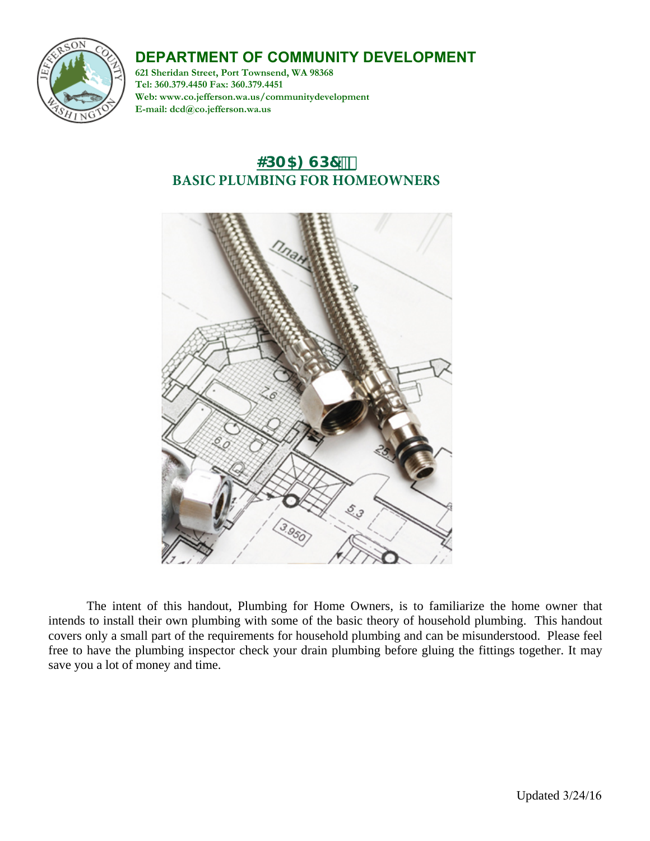# **DEPARTMENT OF COMMUNITY DEVELOPMENT**



**621 Sheridan Street, Port Townsend, WA 98368 Tel: 360.379.4450 Fax: 360.379.4451 Web: www.co.jefferson.wa.us/communitydevelopment E-mail: dcd@co.jefferson.wa.us**

# **4DA5: GD7<sup>\*\*</sup> BASIC PLUMBING FOR HOMEOWNERS**



The intent of this handout, Plumbing for Home Owners, is to familiarize the home owner that intends to install their own plumbing with some of the basic theory of household plumbing. This handout covers only a small part of the requirements for household plumbing and can be misunderstood. Please feel free to have the plumbing inspector check your drain plumbing before gluing the fittings together. It may save you a lot of money and time.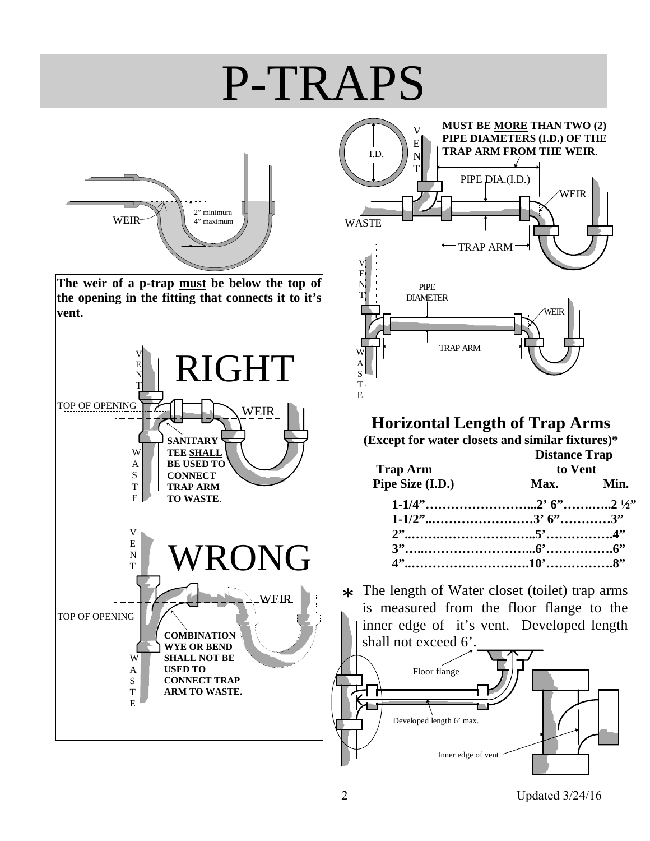# P-TRAPS



**The weir of a p-trap must be below the top of the opening in the fitting that connects it to it's vent.** 





# **Horizontal Length of Trap Arms**

**(Except for water closets and similar fixtures)\*** 

| <b>Trap Arm</b><br>Pipe Size (I.D.) | <b>Distance Trap</b><br>to Vent |  |
|-------------------------------------|---------------------------------|--|
|                                     | Max. Min.                       |  |
|                                     |                                 |  |
|                                     |                                 |  |
|                                     |                                 |  |
|                                     |                                 |  |
|                                     |                                 |  |

 $*$  The length of Water closet (toilet) trap arms<br>is measured from the floor flange to the is measured from the floor flange to the inner edge of it's vent. Developed length shall not exceed 6'.



2 Updated 3/24/16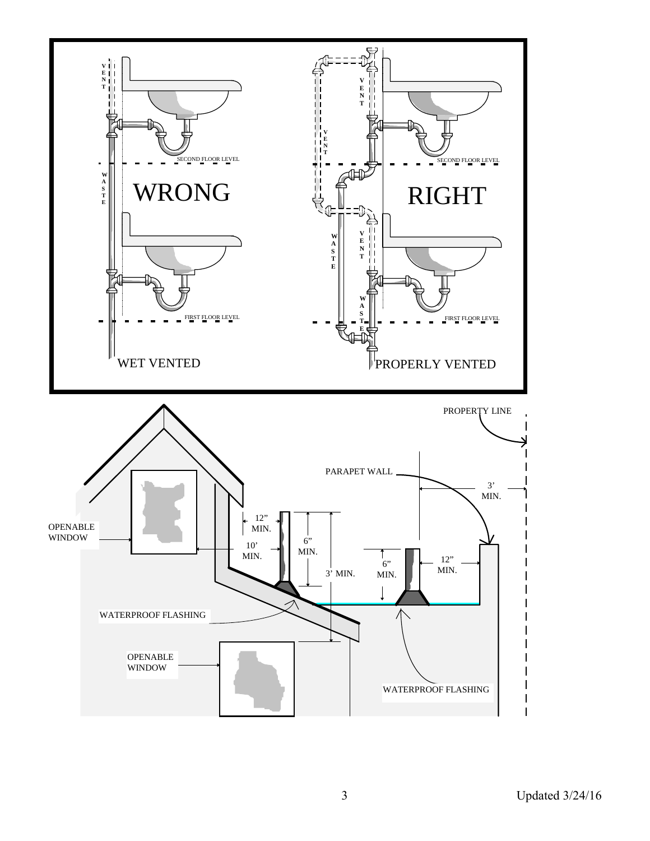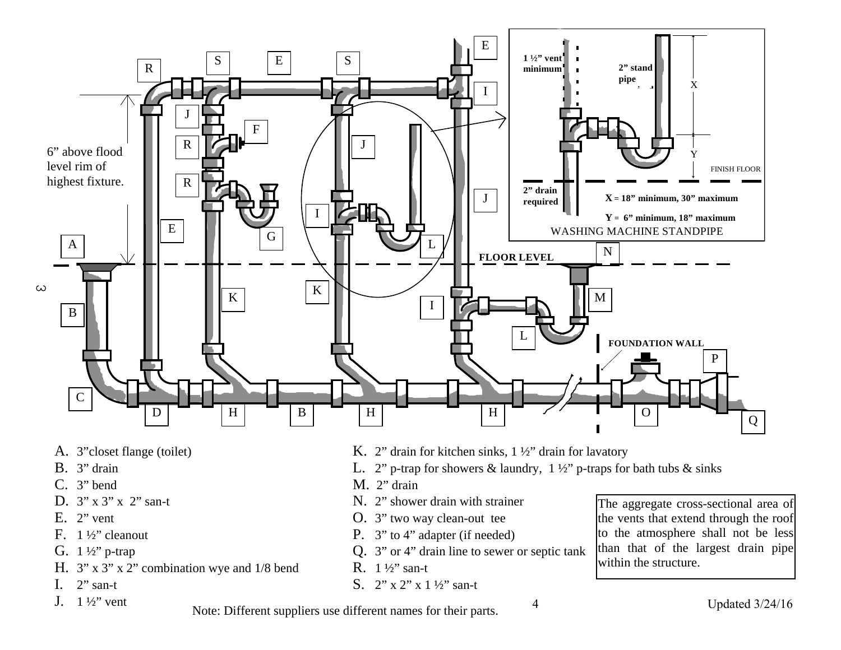

- A. 3"closet flange (toilet)
- B. 3" drain
- C. 3" bend
- D. 3" x 3" x 2" san-t
- E.  $2$ " vent
- F. 1 ½" cleanout
- G. 1 ½" p-trap
- H. 3" x 3" x 2" combination wye and 1/8 bend
- I.  $2$ " san-t
- J.  $1\frac{1}{2}$ " vent
- K. 2" drain for kitchen sinks, 1 ½" drain for lavatory
- L. 2" p-trap for showers & laundry,  $1\frac{1}{2}$ " p-traps for bath tubs & sinks
- M. 2" drain
- N. 2" shower drain with strainer
- O. 3" two way clean-out tee
- P. 3" to 4" adapter (if needed)
- Q. 3" or 4" drain line to sewer or septic tank
- R. 1 ½" san-t
- S. 2" x 2" x 1 ½" san-t

The aggregate cross-sectional area of the vents that extend through the roof to the atmosphere shall not be less than that of the largest drain pipe within the structure.

Note: Different suppliers use different names for their parts.

4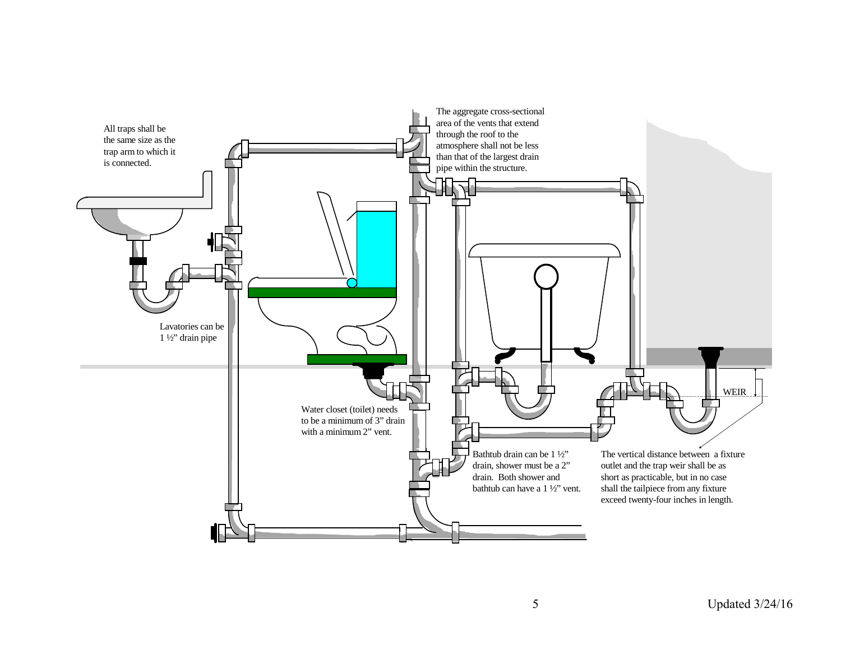

5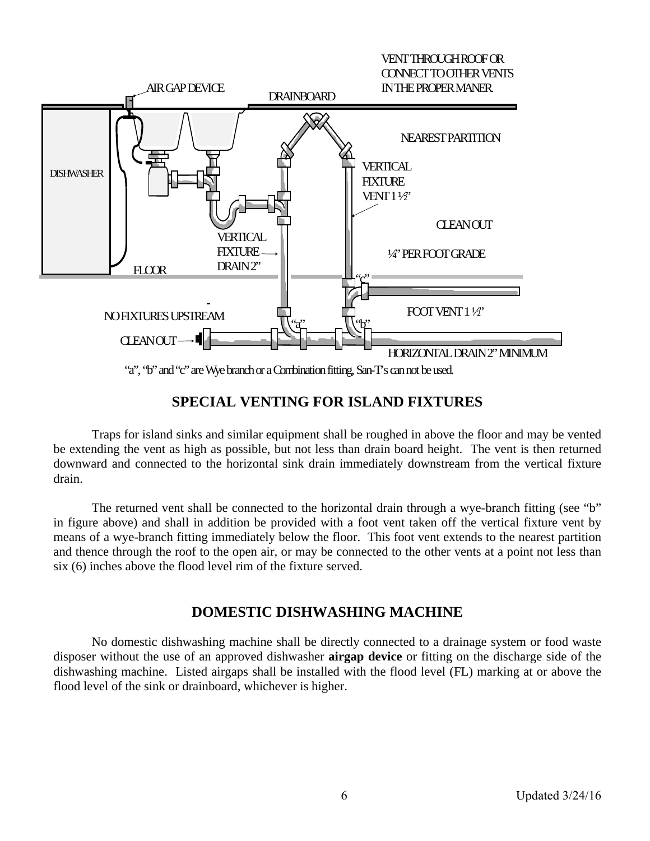

### **SPECIAL VENTING FOR ISLAND FIXTURES**

Traps for island sinks and similar equipment shall be roughed in above the floor and may be vented be extending the vent as high as possible, but not less than drain board height. The vent is then returned downward and connected to the horizontal sink drain immediately downstream from the vertical fixture drain.

The returned vent shall be connected to the horizontal drain through a wye-branch fitting (see "b" in figure above) and shall in addition be provided with a foot vent taken off the vertical fixture vent by means of a wye-branch fitting immediately below the floor. This foot vent extends to the nearest partition and thence through the roof to the open air, or may be connected to the other vents at a point not less than six (6) inches above the flood level rim of the fixture served.

## **DOMESTIC DISHWASHING MACHINE**

No domestic dishwashing machine shall be directly connected to a drainage system or food waste disposer without the use of an approved dishwasher **airgap device** or fitting on the discharge side of the dishwashing machine. Listed airgaps shall be installed with the flood level (FL) marking at or above the flood level of the sink or drainboard, whichever is higher.